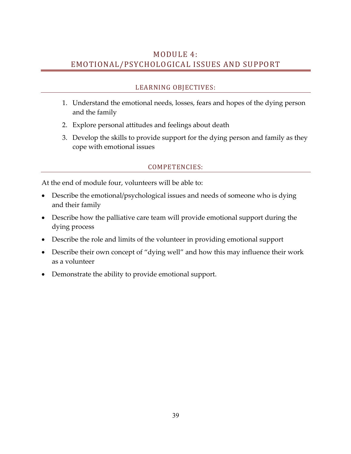# MODULE 4: EMOTIONAL/PSYCHOLOGICAL ISSUES AND SUPPORT

# LEARNING OBJECTIVES:

- 1. Understand the emotional needs, losses, fears and hopes of the dying person and the family
- 2. Explore personal attitudes and feelings about death
- 3. Develop the skills to provide support for the dying person and family as they cope with emotional issues

## COMPETENCIES:

At the end of module four, volunteers will be able to:

- Describe the emotional/psychological issues and needs of someone who is dying and their family
- Describe how the palliative care team will provide emotional support during the dying process
- Describe the role and limits of the volunteer in providing emotional support
- Describe their own concept of "dying well" and how this may influence their work as a volunteer
- Demonstrate the ability to provide emotional support.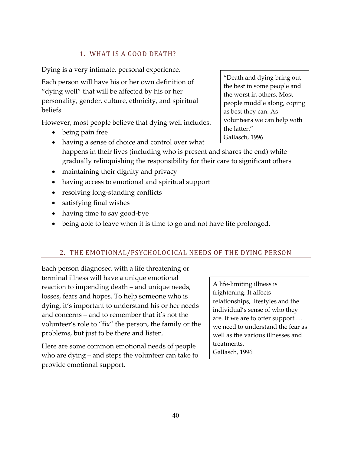## 1. WHAT IS A GOOD DEATH?

Dying is a very intimate, personal experience.

Each person will have his or her own definition of "dying well" that will be affected by his or her personality, gender, culture, ethnicity, and spiritual beliefs.

However, most people believe that dying well includes:

• being pain free

"Death and dying bring out the best in some people and the worst in others. Most people muddle along, coping as best they can. As volunteers we can help with the latter." Gallasch, 1996

- having a sense of choice and control over what happens in their lives (including who is present and shares the end) while gradually relinquishing the responsibility for their care to significant others
- maintaining their dignity and privacy
- having access to emotional and spiritual support
- resolving long-standing conflicts
- satisfying final wishes
- having time to say good-bye
- being able to leave when it is time to go and not have life prolonged.

#### 2. THE EMOTIONAL/PSYCHOLOGICAL NEEDS OF THE DYING PERSON

Each person diagnosed with a life threatening or terminal illness will have a unique emotional reaction to impending death – and unique needs, losses, fears and hopes. To help someone who is dying, it's important to understand his or her needs and concerns – and to remember that it's not the volunteer's role to "fix" the person, the family or the problems, but just to be there and listen.

Here are some common emotional needs of people who are dying – and steps the volunteer can take to provide emotional support.

A life-limiting illness is frightening. It affects relationships, lifestyles and the individual's sense of who they are. If we are to offer support … we need to understand the fear as well as the various illnesses and treatments. Gallasch, 1996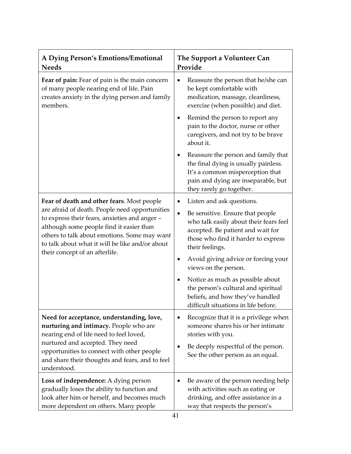| A Dying Person's Emotions/Emotional<br><b>Needs</b>                                                                                                                                                                                                                                                                           | The Support a Volunteer Can<br>Provide                                                                                                                                                  |
|-------------------------------------------------------------------------------------------------------------------------------------------------------------------------------------------------------------------------------------------------------------------------------------------------------------------------------|-----------------------------------------------------------------------------------------------------------------------------------------------------------------------------------------|
| Fear of pain: Fear of pain is the main concern<br>of many people nearing end of life. Pain<br>creates anxiety in the dying person and family<br>members.                                                                                                                                                                      | Reassure the person that he/she can<br>٠<br>be kept comfortable with<br>medication, massage, cleanliness,<br>exercise (when possible) and diet.                                         |
|                                                                                                                                                                                                                                                                                                                               | Remind the person to report any<br>٠<br>pain to the doctor, nurse or other<br>caregivers, and not try to be brave<br>about it.                                                          |
|                                                                                                                                                                                                                                                                                                                               | Reassure the person and family that<br>٠<br>the final dying is usually painless.<br>It's a common misperception that<br>pain and dying are inseparable, but<br>they rarely go together. |
| Fear of death and other fears. Most people<br>are afraid of death. People need opportunities<br>to express their fears, anxieties and anger-<br>although some people find it easier than<br>others to talk about emotions. Some may want<br>to talk about what it will be like and/or about<br>their concept of an afterlife. | Listen and ask questions.<br>٠                                                                                                                                                          |
|                                                                                                                                                                                                                                                                                                                               | Be sensitive. Ensure that people<br>$\bullet$<br>who talk easily about their fears feel<br>accepted. Be patient and wait for<br>those who find it harder to express<br>their feelings.  |
|                                                                                                                                                                                                                                                                                                                               | Avoid giving advice or forcing your<br>٠<br>views on the person.                                                                                                                        |
|                                                                                                                                                                                                                                                                                                                               | Notice as much as possible about<br>the person's cultural and spiritual<br>beliefs, and how they've handled<br>difficult situations in life before.                                     |
| Need for acceptance, understanding, love,<br>nurturing and intimacy. People who are<br>nearing end of life need to feel loved,<br>nurtured and accepted. They need<br>opportunities to connect with other people<br>and share their thoughts and fears, and to feel<br>understood.                                            | Recognize that it is a privilege when<br>someone shares his or her intimate<br>stories with you.                                                                                        |
|                                                                                                                                                                                                                                                                                                                               | Be deeply respectful of the person.<br>See the other person as an equal.                                                                                                                |
| Loss of independence: A dying person<br>gradually loses the ability to function and<br>look after him or herself, and becomes much<br>more dependent on others. Many people                                                                                                                                                   | Be aware of the person needing help<br>٠<br>with activities such as eating or<br>drinking, and offer assistance in a<br>way that respects the person's                                  |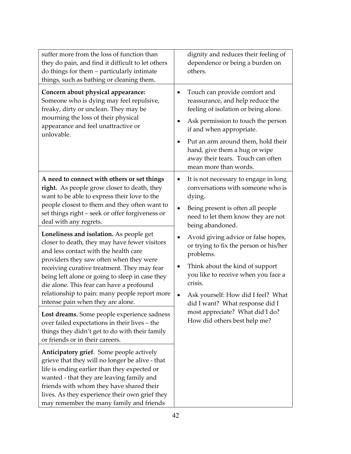| suffer more from the loss of function than<br>they do pain, and find it difficult to let others<br>do things for them - particularly intimate<br>things, such as bathing or cleaning them.                                                                                                                                                                                                                                                                                                                                                                                                                                                                                                   | dignity and reduces their feeling of<br>dependence or being a burden on<br>others.                                                                                                                                                                                                                                                                                                                                                                                                                                                                     |
|----------------------------------------------------------------------------------------------------------------------------------------------------------------------------------------------------------------------------------------------------------------------------------------------------------------------------------------------------------------------------------------------------------------------------------------------------------------------------------------------------------------------------------------------------------------------------------------------------------------------------------------------------------------------------------------------|--------------------------------------------------------------------------------------------------------------------------------------------------------------------------------------------------------------------------------------------------------------------------------------------------------------------------------------------------------------------------------------------------------------------------------------------------------------------------------------------------------------------------------------------------------|
| Concern about physical appearance:<br>Someone who is dying may feel repulsive,<br>freaky, dirty or unclean. They may be<br>mourning the loss of their physical<br>appearance and feel unattractive or<br>unlovable.                                                                                                                                                                                                                                                                                                                                                                                                                                                                          | Touch can provide comfort and<br>٠<br>reassurance, and help reduce the<br>feeling of isolation or being alone.<br>Ask permission to touch the person<br>if and when appropriate.<br>Put an arm around them, hold their<br>hand, give them a hug or wipe<br>away their tears. Touch can often<br>mean more than words.                                                                                                                                                                                                                                  |
| A need to connect with others or set things<br>right. As people grow closer to death, they<br>want to be able to express their love to the<br>people closest to them and they often want to<br>set things right - seek or offer forgiveness or<br>deal with any regrets.<br>Loneliness and isolation. As people get<br>closer to death, they may have fewer visitors<br>and less contact with the health care<br>providers they saw often when they were<br>receiving curative treatment. They may fear<br>being left alone or going to sleep in case they<br>die alone. This fear can have a profound<br>relationship to pain: many people report more<br>intense pain when they are alone. | It is not necessary to engage in long<br>٠<br>conversations with someone who is<br>dying.<br>Being present is often all people<br>$\bullet$<br>need to let them know they are not<br>being abandoned.<br>Avoid giving advice or false hopes,<br>$\bullet$<br>or trying to fix the person or his/her<br>problems.<br>Think about the kind of support<br>٠<br>you like to receive when you face a<br>crisis.<br>Ask yourself: How did I feel? What<br>did I want? What response did I<br>most appreciate? What did I do?<br>How did others best help me? |
| Lost dreams. Some people experience sadness<br>over failed expectations in their lives - the<br>things they didn't get to do with their family<br>or friends or in their careers.                                                                                                                                                                                                                                                                                                                                                                                                                                                                                                            |                                                                                                                                                                                                                                                                                                                                                                                                                                                                                                                                                        |
| Anticipatory grief. Some people actively<br>grieve that they will no longer be alive - that<br>life is ending earlier than they expected or<br>wanted - that they are leaving family and<br>friends with whom they have shared their<br>lives. As they experience their own grief they<br>may remember the many family and friends                                                                                                                                                                                                                                                                                                                                                           |                                                                                                                                                                                                                                                                                                                                                                                                                                                                                                                                                        |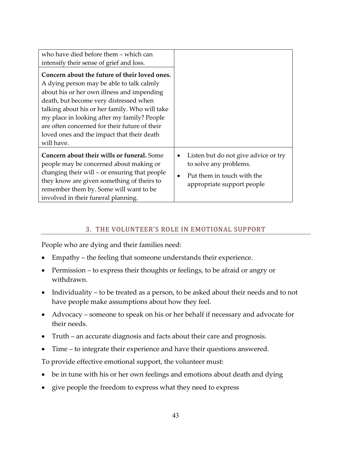| who have died before them – which can                                                 |                                                                |
|---------------------------------------------------------------------------------------|----------------------------------------------------------------|
| intensify their sense of grief and loss.                                              |                                                                |
| Concern about the future of their loved ones.                                         |                                                                |
| A dying person may be able to talk calmly                                             |                                                                |
| about his or her own illness and impending                                            |                                                                |
| death, but become very distressed when                                                |                                                                |
| talking about his or her family. Who will take                                        |                                                                |
| my place in looking after my family? People                                           |                                                                |
| are often concerned for their future of their                                         |                                                                |
| loved ones and the impact that their death                                            |                                                                |
| will have.                                                                            |                                                                |
| Concern about their wills or funeral. Some<br>people may be concerned about making or | Listen but do not give advice or try<br>to solve any problems. |
| changing their will – or ensuring that people                                         |                                                                |
| they know are given something of theirs to                                            | Put them in touch with the                                     |
| remember them by. Some will want to be                                                | appropriate support people                                     |
| involved in their funeral planning.                                                   |                                                                |

## 3. THE VOLUNTEER'S ROLE IN EMOTIONAL SUPPORT

People who are dying and their families need:

- Empathy the feeling that someone understands their experience.
- Permission to express their thoughts or feelings, to be afraid or angry or withdrawn.
- Individuality to be treated as a person, to be asked about their needs and to not have people make assumptions about how they feel.
- Advocacy someone to speak on his or her behalf if necessary and advocate for their needs.
- Truth an accurate diagnosis and facts about their care and prognosis.
- Time to integrate their experience and have their questions answered.

To provide effective emotional support, the volunteer must:

- be in tune with his or her own feelings and emotions about death and dying
- give people the freedom to express what they need to express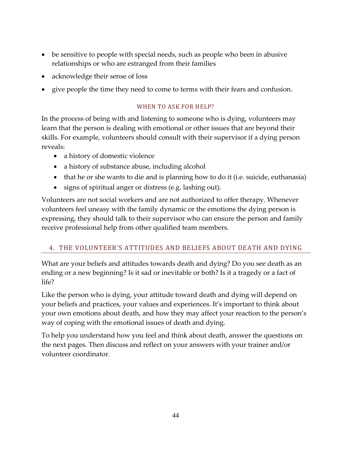- be sensitive to people with special needs, such as people who been in abusive relationships or who are estranged from their families
- acknowledge their sense of loss
- give people the time they need to come to terms with their fears and confusion.

#### WHEN TO ASK FOR HELP?

In the process of being with and listening to someone who is dying, volunteers may learn that the person is dealing with emotional or other issues that are beyond their skills. For example, volunteers should consult with their supervisor if a dying person reveals:

- a history of domestic violence
- a history of substance abuse, including alcohol
- that he or she wants to die and is planning how to do it (i.e. suicide, euthanasia)
- signs of spiritual anger or distress (e.g. lashing out).

Volunteers are not social workers and are not authorized to offer therapy. Whenever volunteers feel uneasy with the family dynamic or the emotions the dying person is expressing, they should talk to their supervisor who can ensure the person and family receive professional help from other qualified team members.

# 4. THE VOLUNTEER'S ATTITUDES AND BELIEFS ABOUT DEATH AND DYING

What are your beliefs and attitudes towards death and dying? Do you see death as an ending or a new beginning? Is it sad or inevitable or both? Is it a tragedy or a fact of life?

Like the person who is dying, your attitude toward death and dying will depend on your beliefs and practices, your values and experiences. It's important to think about your own emotions about death, and how they may affect your reaction to the person's way of coping with the emotional issues of death and dying.

To help you understand how you feel and think about death, answer the questions on the next pages. Then discuss and reflect on your answers with your trainer and/or volunteer coordinator.